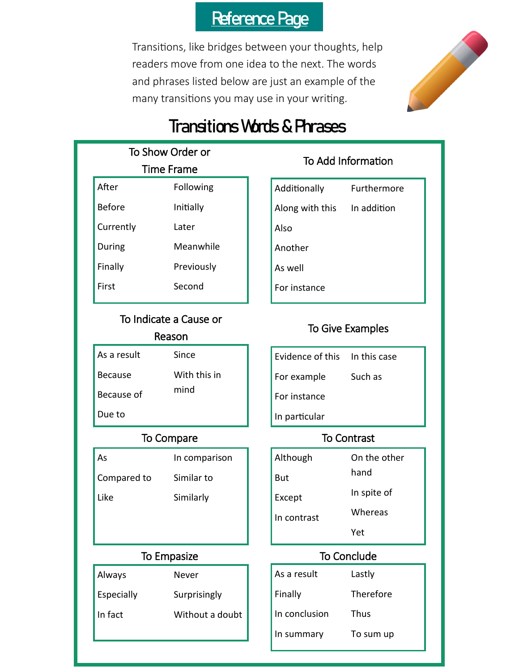## Reference Page

Transitions, like bridges between your thoughts, help readers move from one idea to the next. The words and phrases listed below are just an example of the many transitions you may use in your writing.



# Transitions Words & Phrases

| To Show Order or |            |  |  |
|------------------|------------|--|--|
| Time Frame       |            |  |  |
| After            | Following  |  |  |
| <b>Before</b>    | Initially  |  |  |
| Currently        | Later      |  |  |
| During           | Meanwhile  |  |  |
| Finally          | Previously |  |  |
| First            | Second     |  |  |
|                  |            |  |  |

### To Indicate a Cause or Reason

| As a result    | Since        |
|----------------|--------------|
| <b>Because</b> | With this in |
| Because of     | mind         |
| Due to         |              |

| As          | In comparison |
|-------------|---------------|
| Compared to | Similar to    |
| Like        | Similarly     |

| Always     | Never           |
|------------|-----------------|
| Especially | Surprisingly    |
| In fact    | Without a doubt |

### To Add Information

| Additionally    | Furthermore |  |
|-----------------|-------------|--|
| Along with this | In addition |  |
| Also            |             |  |
| Another         |             |  |
|                 |             |  |

As well

For instance

### To Give Examples

| Evidence of this In this case |         |
|-------------------------------|---------|
| For example                   | Such as |
| For instance                  |         |

In particular

### To Compare To Contrast

| Although    | On the other |
|-------------|--------------|
| <b>But</b>  | hand         |
| Except      | In spite of  |
| In contrast | Whereas      |
|             | Yet          |

### To Empasize To Conclude

| Lastly           |
|------------------|
| <b>Therefore</b> |
| <b>Thus</b>      |
| To sum up        |
|                  |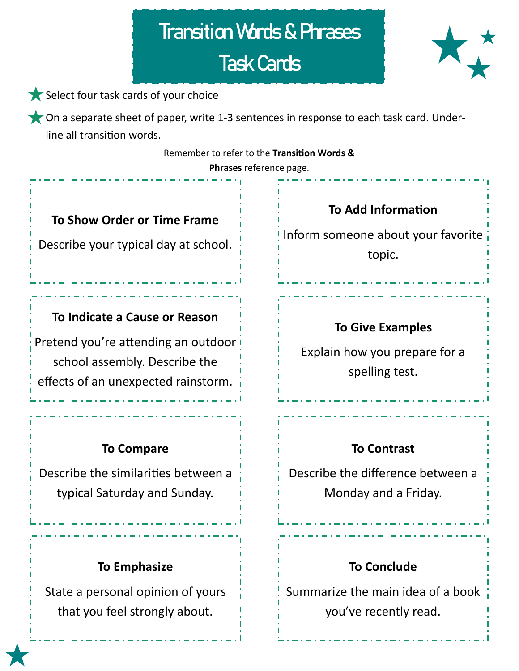# Transition Words & Phrases Task Cards





On a separate sheet of paper, write 1-3 sentences in response to each task card. Underline all transition words.

Remember to refer to the **Transition Words &** 

**Phrases** reference page.

### **To Show Order or Time Frame**

Describe your typical day at school.

### **To Indicate a Cause or Reason**

Pretend you're attending an outdoor school assembly. Describe the effects of an unexpected rainstorm.

### **To Compare**

Describe the similarities between a typical Saturday and Sunday.

### **To Emphasize**

State a personal opinion of yours that you feel strongly about.

**To Add Information** Inform someone about your favorite topic.

### **To Give Examples**

Explain how you prepare for a spelling test.

### **To Contrast**

Describe the difference between a Monday and a Friday.

### **To Conclude**

Summarize the main idea of a book you've recently read.